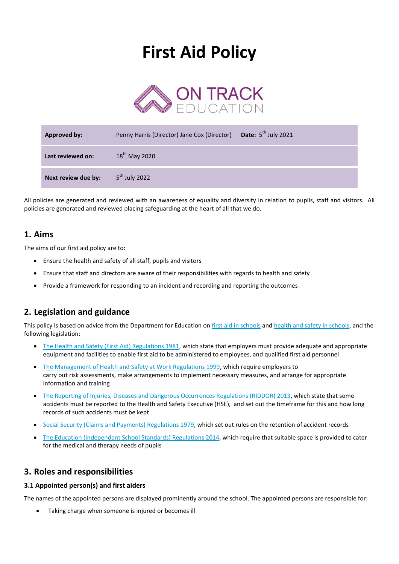# **First Aid Policy**



| <b>Approved by:</b> | Penny Harris (Director) Jane Cox (Director) | Date: $5^{\text{th}}$ July 2021 |
|---------------------|---------------------------------------------|---------------------------------|
| Last reviewed on:   | $18^{th}$ May 2020                          |                                 |
| Next review due by: | 5 <sup>th</sup> July 2022                   |                                 |

All policies are generated and reviewed with an awareness of equality and diversity in relation to pupils, staff and visitors. All policies are generated and reviewed placing safeguarding at the heart of all that we do.

## **1. Aims**

The aims of our first aid policy are to:

- Ensure the health and safety of all staff, pupils and visitors
- Ensure that staff and directors are aware of their responsibilities with regards to health and safety
- Provide a framework for responding to an incident and recording and reporting the outcomes

## **2. Legislation and guidance**

This policy is based on advice from the Department for Education on [first aid in schools](https://www.gov.uk/government/publications/first-aid-in-schools) and [health and safety in schools,](https://www.gov.uk/government/publications/health-and-safety-advice-for-schools) and the following legislation:

- [The Health and Safety \(First Aid\) Regulations 1981,](http://www.legislation.gov.uk/uksi/1981/917/regulation/3/made) which state that employers must provide adequate and appropriate equipment and facilities to enable first aid to be administered to employees, and qualified first aid personnel
- [The Management of Health and Safety at Work Regulations 1999,](http://www.legislation.gov.uk/uksi/1999/3242/contents/made) which require employers to carry out risk assessments, make arrangements to implement necessary measures, and arrange for appropriate information and training
- [The Reporting of Injuries, Diseases and Dangerous Occurrences Regulations \(RIDDOR\) 2013,](http://www.legislation.gov.uk/uksi/2013/1471/schedule/1/paragraph/1/made) which state that some accidents must be reported to the Health and Safety Executive (HSE), and set out the timeframe for this and how long records of such accidents must be kept
- [Social Security \(Claims and Payments\) Regulations 1979,](http://www.legislation.gov.uk/uksi/1979/628) which set out rules on the retention of accident records
- [The Education \(Independent School Standards\) Regulations 2014,](http://www.legislation.gov.uk/uksi/2014/3283/schedule/made) which require that suitable space is provided to cater for the medical and therapy needs of pupils

## **3. Roles and responsibilities**

#### **3.1 Appointed person(s) and first aiders**

The names of the appointed persons are displayed prominently around the school. The appointed persons are responsible for:

Taking charge when someone is injured or becomes ill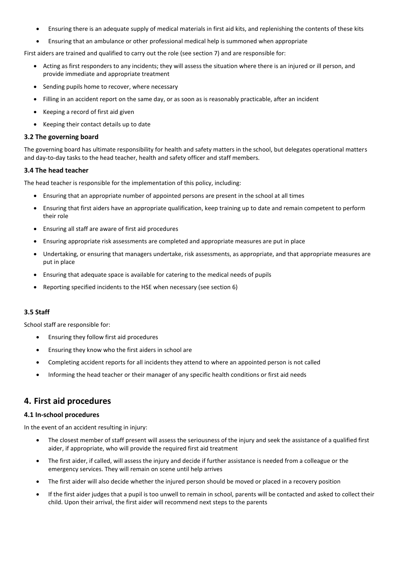- Ensuring there is an adequate supply of medical materials in first aid kits, and replenishing the contents of these kits
- Ensuring that an ambulance or other professional medical help is summoned when appropriate

First aiders are trained and qualified to carry out the role (see section 7) and are responsible for:

- Acting as first responders to any incidents; they will assess the situation where there is an injured or ill person, and provide immediate and appropriate treatment
- Sending pupils home to recover, where necessary
- Filling in an accident report on the same day, or as soon as is reasonably practicable, after an incident
- Keeping a record of first aid given
- Keeping their contact details up to date

#### **3.2 The governing board**

The governing board has ultimate responsibility for health and safety matters in the school, but delegates operational matters and day-to-day tasks to the head teacher, health and safety officer and staff members.

#### **3.4 The head teacher**

The head teacher is responsible for the implementation of this policy, including:

- Ensuring that an appropriate number of appointed persons are present in the school at all times
- Ensuring that first aiders have an appropriate qualification, keep training up to date and remain competent to perform their role
- Ensuring all staff are aware of first aid procedures
- Ensuring appropriate risk assessments are completed and appropriate measures are put in place
- Undertaking, or ensuring that managers undertake, risk assessments, as appropriate, and that appropriate measures are put in place
- Ensuring that adequate space is available for catering to the medical needs of pupils
- Reporting specified incidents to the HSE when necessary (see section 6)

#### **3.5 Staff**

School staff are responsible for:

- Ensuring they follow first aid procedures
- Ensuring they know who the first aiders in school are
- Completing accident reports for all incidents they attend to where an appointed person is not called
- Informing the head teacher or their manager of any specific health conditions or first aid needs

### **4. First aid procedures**

#### **4.1 In-school procedures**

In the event of an accident resulting in injury:

- The closest member of staff present will assess the seriousness of the injury and seek the assistance of a qualified first aider, if appropriate, who will provide the required first aid treatment
- The first aider, if called, will assess the injury and decide if further assistance is needed from a colleague or the emergency services. They will remain on scene until help arrives
- The first aider will also decide whether the injured person should be moved or placed in a recovery position
- If the first aider judges that a pupil is too unwell to remain in school, parents will be contacted and asked to collect their child. Upon their arrival, the first aider will recommend next steps to the parents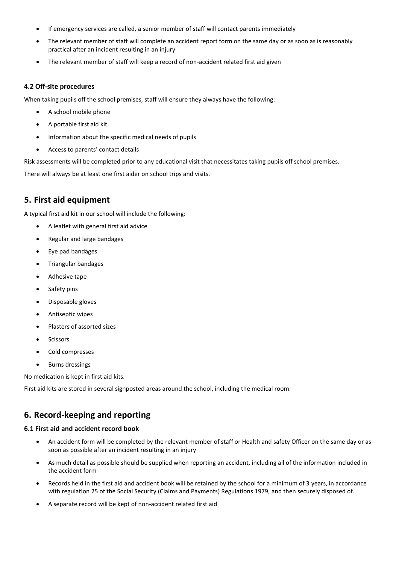- If emergency services are called, a senior member of staff will contact parents immediately
- The relevant member of staff will complete an accident report form on the same day or as soon as is reasonably practical after an incident resulting in an injury
- The relevant member of staff will keep a record of non-accident related first aid given

#### **4.2 Off-site procedures**

When taking pupils off the school premises, staff will ensure they always have the following:

- A school mobile phone
- A portable first aid kit
- Information about the specific medical needs of pupils
- Access to parents' contact details

Risk assessments will be completed prior to any educational visit that necessitates taking pupils off school premises.

There will always be at least one first aider on school trips and visits.

## **5. First aid equipment**

A typical first aid kit in our school will include the following:

- A leaflet with general first aid advice
- Regular and large bandages
- Eye pad bandages
- Triangular bandages
- Adhesive tape
- Safety pins
- Disposable gloves
- Antiseptic wipes
- Plasters of assorted sizes
- **Scissors**
- Cold compresses
- Burns dressings

No medication is kept in first aid kits.

First aid kits are stored in several signposted areas around the school, including the medical room.

## **6. Record-keeping and reporting**

#### **6.1 First aid and accident record book**

- An accident form will be completed by the relevant member of staff or Health and safety Officer on the same day or as soon as possible after an incident resulting in an injury
- As much detail as possible should be supplied when reporting an accident, including all of the information included in the accident form
- Records held in the first aid and accident book will be retained by the school for a minimum of 3 years, in accordance with regulation 25 of the Social Security (Claims and Payments) Regulations 1979, and then securely disposed of.
- A separate record will be kept of non-accident related first aid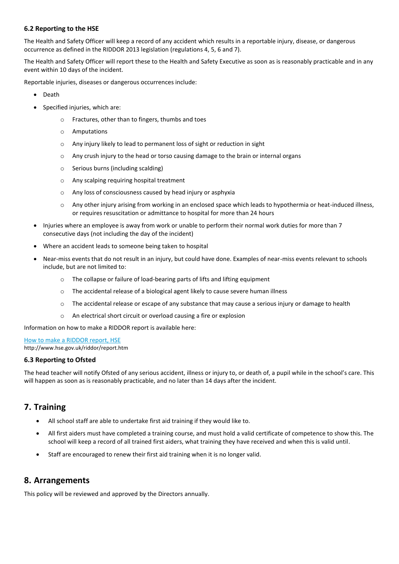#### **6.2 Reporting to the HSE**

The Health and Safety Officer will keep a record of any accident which results in a reportable injury, disease, or dangerous occurrence as defined in the RIDDOR 2013 legislation (regulations 4, 5, 6 and 7).

The Health and Safety Officer will report these to the Health and Safety Executive as soon as is reasonably practicable and in any event within 10 days of the incident.

Reportable injuries, diseases or dangerous occurrences include:

- Death
- Specified injuries, which are:
	- o Fractures, other than to fingers, thumbs and toes
	- o Amputations
	- o Any injury likely to lead to permanent loss of sight or reduction in sight
	- $\circ$  Any crush injury to the head or torso causing damage to the brain or internal organs
	- o Serious burns (including scalding)
	- o Any scalping requiring hospital treatment
	- o Any loss of consciousness caused by head injury or asphyxia
	- o Any other injury arising from working in an enclosed space which leads to hypothermia or heat-induced illness, or requires resuscitation or admittance to hospital for more than 24 hours
- Injuries where an employee is away from work or unable to perform their normal work duties for more than 7 consecutive days (not including the day of the incident)
- Where an accident leads to someone being taken to hospital
- Near-miss events that do not result in an injury, but could have done. Examples of near-miss events relevant to schools include, but are not limited to:
	- o The collapse or failure of load-bearing parts of lifts and lifting equipment
	- o The accidental release of a biological agent likely to cause severe human illness
	- $\circ$  The accidental release or escape of any substance that may cause a serious injury or damage to health
	- o An electrical short circuit or overload causing a fire or explosion

Information on how to make a RIDDOR report is available here:

[How to make a RIDDOR report, HSE](http://www.hse.gov.uk/riddor/report.htm) http://www.hse.gov.uk/riddor/report.htm

#### **6.3 Reporting to Ofsted**

The head teacher will notify Ofsted of any serious accident, illness or injury to, or death of, a pupil while in the school's care. This will happen as soon as is reasonably practicable, and no later than 14 days after the incident.

## **7. Training**

- All school staff are able to undertake first aid training if they would like to.
- All first aiders must have completed a training course, and must hold a valid certificate of competence to show this. The school will keep a record of all trained first aiders, what training they have received and when this is valid until.
- Staff are encouraged to renew their first aid training when it is no longer valid.

## **8. Arrangements**

This policy will be reviewed and approved by the Directors annually.